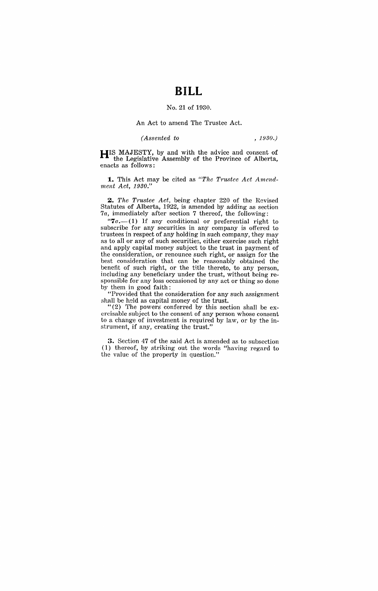## **BILL**

## No. 21 of 1930.

## An Act to amend The Trustee Act.

## *(Assented to , 1930.)*

**HIS** MAJESTY, by and with the advice and consent of the Legislative Assembly of the Province of Alberta, enacts as follows:

1. This Act may be cited as "The Trustee Act Amend*ment Act, 1930."* 

*2. The Trustee Act,* being chapter 220 of the Revised Statutes of Alberta, 1922, is amended by adding as section *7a,* immediately after section 7 thereof, the following:

"7*a*.<sup>--</sup>(1) If any conditional or preferential right to subscribe for any securities in any company is offered to trustees in respect of any holding in such company, they may as to all or any of such securities, either exercise such right and apply capital money subject to the trust in payment of the consideration, or renounce such right, or assign for the best consideration that can be reasonably obtained the benefit of such right, or the title thereto, to any person, including any beneficiary under the trust, without being responsible for any loss occasioned by any act or thing so done by them in good faith:

"Provided that the consideration for any such assignment shall be held as capital money of the trust.

"(2) The powers' conferred by this section shall be exercisable subject to the consent of any person whose consent to a change of investment is required by law, or by the instrument, if any, creating the trust."

3. Section 47 of the said Act is amended as to subsection (1) thereof, by striking out the words "having regard to the value of the property in question."